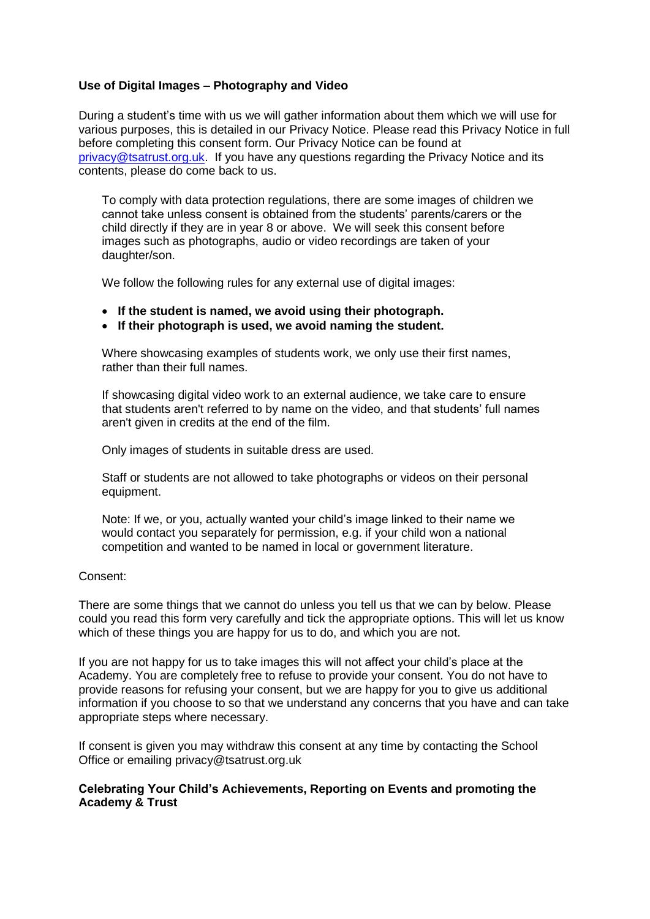## **Use of Digital Images – Photography and Video**

During a student's time with us we will gather information about them which we will use for various purposes, this is detailed in our Privacy Notice. Please read this Privacy Notice in full before completing this consent form. Our Privacy Notice can be found at [privacy@tsatrust.org.uk.](mailto:privacy@tsatrust.org.uk) If you have any questions regarding the Privacy Notice and its contents, please do come back to us.

To comply with data protection regulations, there are some images of children we cannot take unless consent is obtained from the students' parents/carers or the child directly if they are in year 8 or above. We will seek this consent before images such as photographs, audio or video recordings are taken of your daughter/son.

We follow the following rules for any external use of digital images:

- **If the student is named, we avoid using their photograph.**
- **If their photograph is used, we avoid naming the student.**

Where showcasing examples of students work, we only use their first names, rather than their full names.

If showcasing digital video work to an external audience, we take care to ensure that students aren't referred to by name on the video, and that students' full names aren't given in credits at the end of the film.

Only images of students in suitable dress are used.

Staff or students are not allowed to take photographs or videos on their personal equipment.

Note: If we, or you, actually wanted your child's image linked to their name we would contact you separately for permission, e.g. if your child won a national competition and wanted to be named in local or government literature.

## Consent:

There are some things that we cannot do unless you tell us that we can by below. Please could you read this form very carefully and tick the appropriate options. This will let us know which of these things you are happy for us to do, and which you are not.

If you are not happy for us to take images this will not affect your child's place at the Academy. You are completely free to refuse to provide your consent. You do not have to provide reasons for refusing your consent, but we are happy for you to give us additional information if you choose to so that we understand any concerns that you have and can take appropriate steps where necessary.

If consent is given you may withdraw this consent at any time by contacting the School Office or emailing privacy@tsatrust.org.uk

## **Celebrating Your Child's Achievements, Reporting on Events and promoting the Academy & Trust**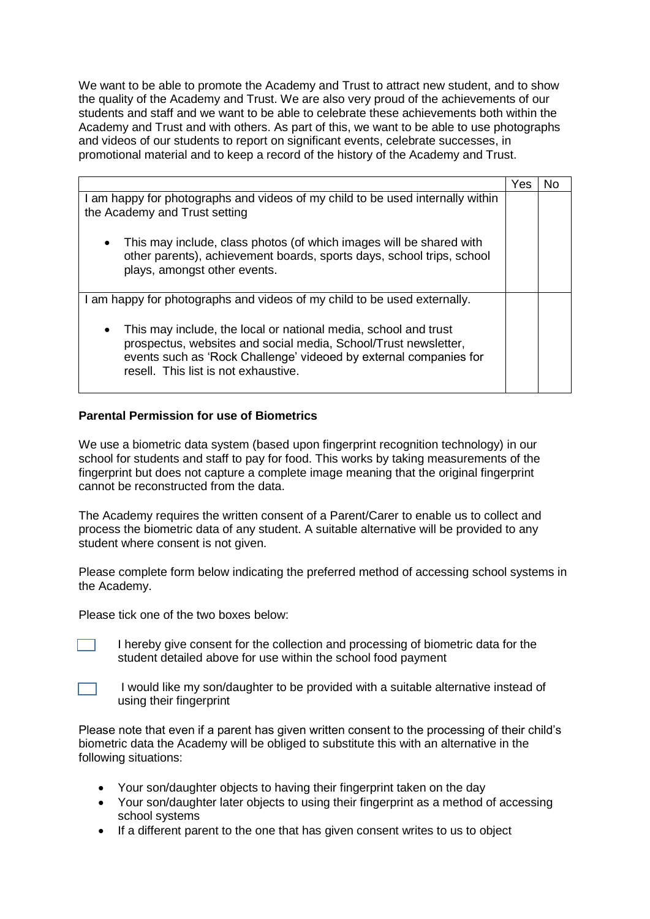We want to be able to promote the Academy and Trust to attract new student, and to show the quality of the Academy and Trust. We are also very proud of the achievements of our students and staff and we want to be able to celebrate these achievements both within the Academy and Trust and with others. As part of this, we want to be able to use photographs and videos of our students to report on significant events, celebrate successes, in promotional material and to keep a record of the history of the Academy and Trust.

|                                                                                                                                                                                                                                                              | Yes |  |
|--------------------------------------------------------------------------------------------------------------------------------------------------------------------------------------------------------------------------------------------------------------|-----|--|
| am happy for photographs and videos of my child to be used internally within<br>the Academy and Trust setting                                                                                                                                                |     |  |
|                                                                                                                                                                                                                                                              |     |  |
| This may include, class photos (of which images will be shared with<br>$\bullet$<br>other parents), achievement boards, sports days, school trips, school<br>plays, amongst other events.                                                                    |     |  |
| I am happy for photographs and videos of my child to be used externally.                                                                                                                                                                                     |     |  |
| This may include, the local or national media, school and trust<br>$\bullet$<br>prospectus, websites and social media, School/Trust newsletter,<br>events such as 'Rock Challenge' videoed by external companies for<br>resell. This list is not exhaustive. |     |  |

## **Parental Permission for use of Biometrics**

We use a biometric data system (based upon fingerprint recognition technology) in our school for students and staff to pay for food. This works by taking measurements of the fingerprint but does not capture a complete image meaning that the original fingerprint cannot be reconstructed from the data.

The Academy requires the written consent of a Parent/Carer to enable us to collect and process the biometric data of any student. A suitable alternative will be provided to any student where consent is not given.

Please complete form below indicating the preferred method of accessing school systems in the Academy.

Please tick one of the two boxes below:



I hereby give consent for the collection and processing of biometric data for the student detailed above for use within the school food payment



I would like my son/daughter to be provided with a suitable alternative instead of using their fingerprint

Please note that even if a parent has given written consent to the processing of their child's biometric data the Academy will be obliged to substitute this with an alternative in the following situations:

- Your son/daughter objects to having their fingerprint taken on the day
- Your son/daughter later objects to using their fingerprint as a method of accessing school systems
- If a different parent to the one that has given consent writes to us to object